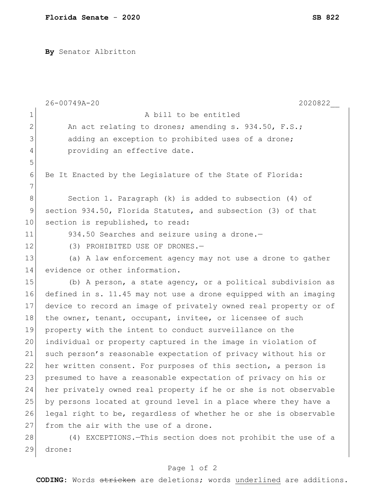**By** Senator Albritton

|              | $26 - 00749A - 20$<br>2020822                                    |
|--------------|------------------------------------------------------------------|
| $\mathbf 1$  | A bill to be entitled                                            |
| $\mathbf{2}$ | An act relating to drones; amending s. 934.50, F.S.;             |
| 3            | adding an exception to prohibited uses of a drone;               |
| 4            | providing an effective date.                                     |
| 5            |                                                                  |
| 6            | Be It Enacted by the Legislature of the State of Florida:        |
| 7            |                                                                  |
| $8\,$        | Section 1. Paragraph $(k)$ is added to subsection $(4)$ of       |
| 9            | section 934.50, Florida Statutes, and subsection (3) of that     |
| 10           | section is republished, to read:                                 |
| 11           | 934.50 Searches and seizure using a drone.-                      |
| 12           | (3) PROHIBITED USE OF DRONES.-                                   |
| 13           | (a) A law enforcement agency may not use a drone to gather       |
| 14           | evidence or other information.                                   |
| 15           | (b) A person, a state agency, or a political subdivision as      |
| 16           | defined in s. 11.45 may not use a drone equipped with an imaging |
| 17           | device to record an image of privately owned real property or of |
| 18           | the owner, tenant, occupant, invitee, or licensee of such        |
| 19           | property with the intent to conduct surveillance on the          |
| 20           | individual or property captured in the image in violation of     |
| 21           | such person's reasonable expectation of privacy without his or   |
| 22           | her written consent. For purposes of this section, a person is   |
| 23           | presumed to have a reasonable expectation of privacy on his or   |
| 24           | her privately owned real property if he or she is not observable |
| 25           | by persons located at ground level in a place where they have a  |
| 26           | legal right to be, regardless of whether he or she is observable |
| 27           | from the air with the use of a drone.                            |
| 28           | (4) EXCEPTIONS. - This section does not prohibit the use of a    |
| 29           | drone:                                                           |

## Page 1 of 2

**CODING**: Words stricken are deletions; words underlined are additions.